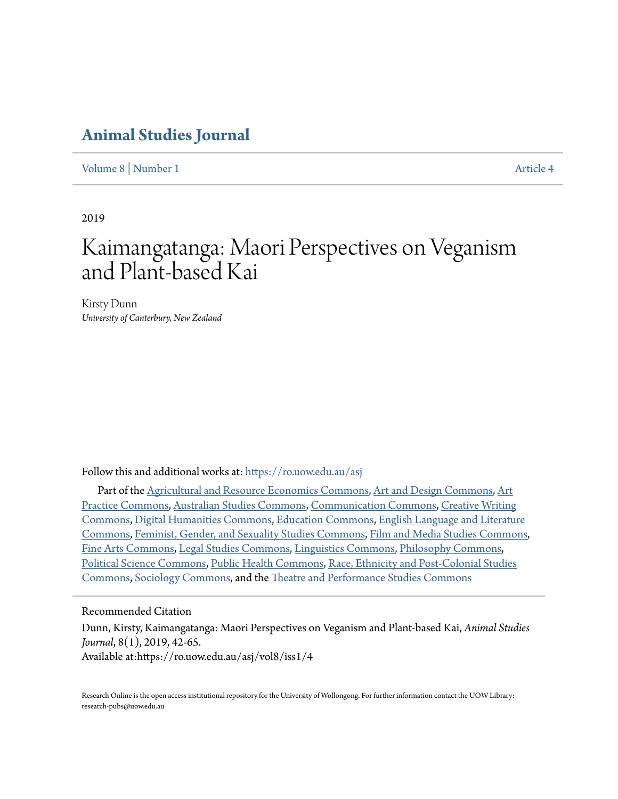## **[Animal Studies Journal](https://ro.uow.edu.au/asj?utm_source=ro.uow.edu.au%2Fasj%2Fvol8%2Fiss1%2F4&utm_medium=PDF&utm_campaign=PDFCoverPages)**

[Volume 8](https://ro.uow.edu.au/asj/vol8?utm_source=ro.uow.edu.au%2Fasj%2Fvol8%2Fiss1%2F4&utm_medium=PDF&utm_campaign=PDFCoverPages) | [Number 1](https://ro.uow.edu.au/asj/vol8/iss1?utm_source=ro.uow.edu.au%2Fasj%2Fvol8%2Fiss1%2F4&utm_medium=PDF&utm_campaign=PDFCoverPages) [Article 4](https://ro.uow.edu.au/asj/vol8/iss1/4?utm_source=ro.uow.edu.au%2Fasj%2Fvol8%2Fiss1%2F4&utm_medium=PDF&utm_campaign=PDFCoverPages)

2019

# Kaimangatanga: Maori Perspectives on Veganism and Plant-based Kai

Kirsty Dunn *University of Canterbury, New Zealand*

Follow this and additional works at: [https://ro.uow.edu.au/asj](https://ro.uow.edu.au/asj?utm_source=ro.uow.edu.au%2Fasj%2Fvol8%2Fiss1%2F4&utm_medium=PDF&utm_campaign=PDFCoverPages)

Part of the [Agricultural and Resource Economics Commons](http://network.bepress.com/hgg/discipline/317?utm_source=ro.uow.edu.au%2Fasj%2Fvol8%2Fiss1%2F4&utm_medium=PDF&utm_campaign=PDFCoverPages), [Art and Design Commons](http://network.bepress.com/hgg/discipline/1049?utm_source=ro.uow.edu.au%2Fasj%2Fvol8%2Fiss1%2F4&utm_medium=PDF&utm_campaign=PDFCoverPages), [Art](http://network.bepress.com/hgg/discipline/509?utm_source=ro.uow.edu.au%2Fasj%2Fvol8%2Fiss1%2F4&utm_medium=PDF&utm_campaign=PDFCoverPages) [Practice Commons](http://network.bepress.com/hgg/discipline/509?utm_source=ro.uow.edu.au%2Fasj%2Fvol8%2Fiss1%2F4&utm_medium=PDF&utm_campaign=PDFCoverPages), [Australian Studies Commons](http://network.bepress.com/hgg/discipline/1020?utm_source=ro.uow.edu.au%2Fasj%2Fvol8%2Fiss1%2F4&utm_medium=PDF&utm_campaign=PDFCoverPages), [Communication Commons](http://network.bepress.com/hgg/discipline/325?utm_source=ro.uow.edu.au%2Fasj%2Fvol8%2Fiss1%2F4&utm_medium=PDF&utm_campaign=PDFCoverPages), [Creative Writing](http://network.bepress.com/hgg/discipline/574?utm_source=ro.uow.edu.au%2Fasj%2Fvol8%2Fiss1%2F4&utm_medium=PDF&utm_campaign=PDFCoverPages) [Commons,](http://network.bepress.com/hgg/discipline/574?utm_source=ro.uow.edu.au%2Fasj%2Fvol8%2Fiss1%2F4&utm_medium=PDF&utm_campaign=PDFCoverPages) [Digital Humanities Commons](http://network.bepress.com/hgg/discipline/1286?utm_source=ro.uow.edu.au%2Fasj%2Fvol8%2Fiss1%2F4&utm_medium=PDF&utm_campaign=PDFCoverPages), [Education Commons](http://network.bepress.com/hgg/discipline/784?utm_source=ro.uow.edu.au%2Fasj%2Fvol8%2Fiss1%2F4&utm_medium=PDF&utm_campaign=PDFCoverPages), [English Language and Literature](http://network.bepress.com/hgg/discipline/455?utm_source=ro.uow.edu.au%2Fasj%2Fvol8%2Fiss1%2F4&utm_medium=PDF&utm_campaign=PDFCoverPages) [Commons,](http://network.bepress.com/hgg/discipline/455?utm_source=ro.uow.edu.au%2Fasj%2Fvol8%2Fiss1%2F4&utm_medium=PDF&utm_campaign=PDFCoverPages) [Feminist, Gender, and Sexuality Studies Commons,](http://network.bepress.com/hgg/discipline/559?utm_source=ro.uow.edu.au%2Fasj%2Fvol8%2Fiss1%2F4&utm_medium=PDF&utm_campaign=PDFCoverPages) [Film and Media Studies Commons,](http://network.bepress.com/hgg/discipline/563?utm_source=ro.uow.edu.au%2Fasj%2Fvol8%2Fiss1%2F4&utm_medium=PDF&utm_campaign=PDFCoverPages) [Fine Arts Commons,](http://network.bepress.com/hgg/discipline/1141?utm_source=ro.uow.edu.au%2Fasj%2Fvol8%2Fiss1%2F4&utm_medium=PDF&utm_campaign=PDFCoverPages) [Legal Studies Commons](http://network.bepress.com/hgg/discipline/366?utm_source=ro.uow.edu.au%2Fasj%2Fvol8%2Fiss1%2F4&utm_medium=PDF&utm_campaign=PDFCoverPages), [Linguistics Commons](http://network.bepress.com/hgg/discipline/371?utm_source=ro.uow.edu.au%2Fasj%2Fvol8%2Fiss1%2F4&utm_medium=PDF&utm_campaign=PDFCoverPages), [Philosophy Commons,](http://network.bepress.com/hgg/discipline/525?utm_source=ro.uow.edu.au%2Fasj%2Fvol8%2Fiss1%2F4&utm_medium=PDF&utm_campaign=PDFCoverPages) [Political Science Commons](http://network.bepress.com/hgg/discipline/386?utm_source=ro.uow.edu.au%2Fasj%2Fvol8%2Fiss1%2F4&utm_medium=PDF&utm_campaign=PDFCoverPages), [Public Health Commons,](http://network.bepress.com/hgg/discipline/738?utm_source=ro.uow.edu.au%2Fasj%2Fvol8%2Fiss1%2F4&utm_medium=PDF&utm_campaign=PDFCoverPages) [Race, Ethnicity and Post-Colonial Studies](http://network.bepress.com/hgg/discipline/566?utm_source=ro.uow.edu.au%2Fasj%2Fvol8%2Fiss1%2F4&utm_medium=PDF&utm_campaign=PDFCoverPages) [Commons,](http://network.bepress.com/hgg/discipline/566?utm_source=ro.uow.edu.au%2Fasj%2Fvol8%2Fiss1%2F4&utm_medium=PDF&utm_campaign=PDFCoverPages) [Sociology Commons](http://network.bepress.com/hgg/discipline/416?utm_source=ro.uow.edu.au%2Fasj%2Fvol8%2Fiss1%2F4&utm_medium=PDF&utm_campaign=PDFCoverPages), and the [Theatre and Performance Studies Commons](http://network.bepress.com/hgg/discipline/552?utm_source=ro.uow.edu.au%2Fasj%2Fvol8%2Fiss1%2F4&utm_medium=PDF&utm_campaign=PDFCoverPages)

#### Recommended Citation

Dunn, Kirsty, Kaimangatanga: Maori Perspectives on Veganism and Plant-based Kai, *Animal Studies Journal*, 8(1), 2019, 42-65. Available at:https://ro.uow.edu.au/asj/vol8/iss1/4

Research Online is the open access institutional repository for the University of Wollongong. For further information contact the UOW Library: research-pubs@uow.edu.au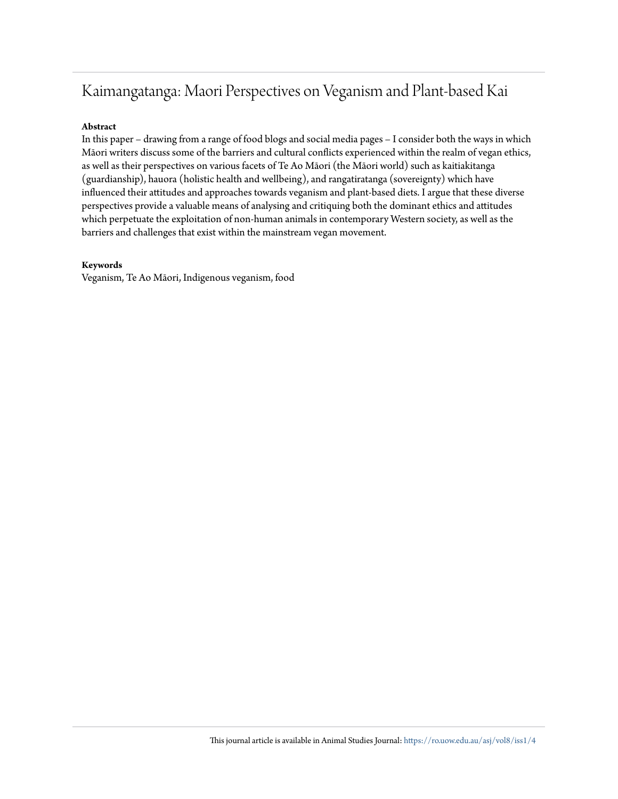## Kaimangatanga: Maori Perspectives on Veganism and Plant-based Kai

#### **Abstract**

In this paper – drawing from a range of food blogs and social media pages – I consider both the ways in which Māori writers discuss some of the barriers and cultural conflicts experienced within the realm of vegan ethics, as well as their perspectives on various facets of Te Ao Māori (the Māori world) such as kaitiakitanga (guardianship), hauora (holistic health and wellbeing), and rangatiratanga (sovereignty) which have influenced their attitudes and approaches towards veganism and plant-based diets. I argue that these diverse perspectives provide a valuable means of analysing and critiquing both the dominant ethics and attitudes which perpetuate the exploitation of non-human animals in contemporary Western society, as well as the barriers and challenges that exist within the mainstream vegan movement.

#### **Keywords**

Veganism, Te Ao Māori, Indigenous veganism, food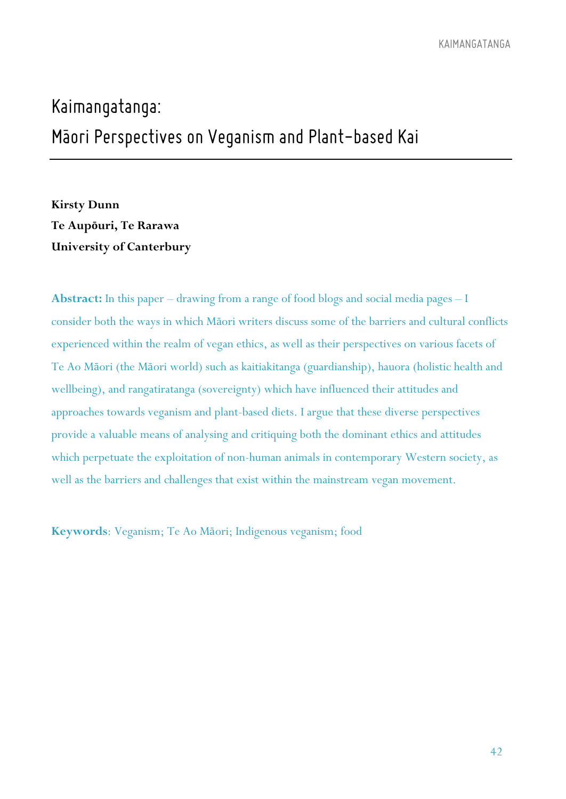# *Kaimangatanga: Maori Perspectives on Veganism and Plant-based Kai -*

**Kirsty Dunn Te Aupōuri, Te Rarawa University of Canterbury**

**Abstract:** In this paper – drawing from a range of food blogs and social media pages – I consider both the ways in which Māori writers discuss some of the barriers and cultural conflicts experienced within the realm of vegan ethics, as well as their perspectives on various facets of Te Ao Māori (the Māori world) such as kaitiakitanga (guardianship), hauora (holistic health and wellbeing), and rangatiratanga (sovereignty) which have influenced their attitudes and approaches towards veganism and plant-based diets. I argue that these diverse perspectives provide a valuable means of analysing and critiquing both the dominant ethics and attitudes which perpetuate the exploitation of non-human animals in contemporary Western society, as well as the barriers and challenges that exist within the mainstream vegan movement.

**Keywords**: Veganism; Te Ao Māori; Indigenous veganism; food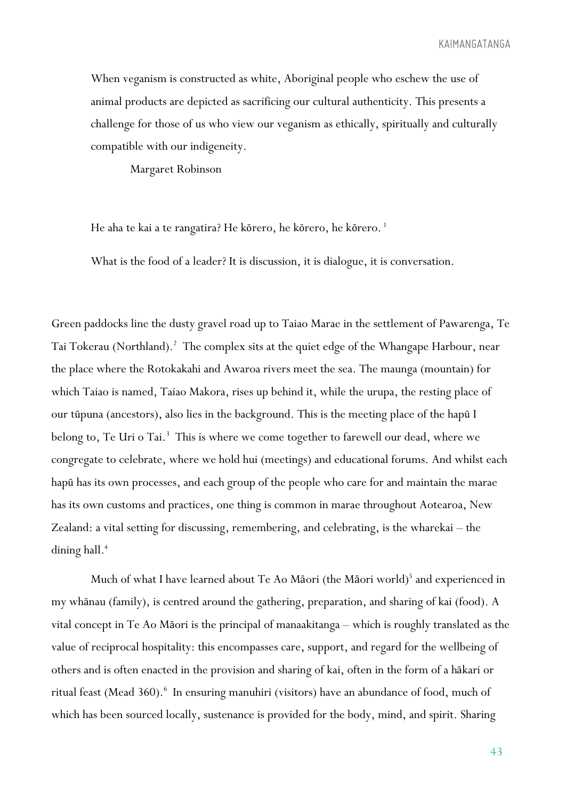When veganism is constructed as white, Aboriginal people who eschew the use of animal products are depicted as sacrificing our cultural authenticity. This presents a challenge for those of us who view our veganism as ethically, spiritually and culturally compatible with our indigeneity.

Margaret Robinson

He aha te kai a te rangatira? He kōrero, he kōrero, he kōrero.<sup>1</sup>

What is the food of a leader? It is discussion, it is dialogue, it is conversation.

Green paddocks line the dusty gravel road up to Taiao Marae in the settlement of Pawarenga, Te Tai Tokerau (Northland).<sup>2</sup> The complex sits at the quiet edge of the Whangape Harbour, near the place where the Rotokakahi and Awaroa rivers meet the sea. The maunga (mountain) for which Taiao is named, Taiao Makora, rises up behind it, while the urupa, the resting place of our tūpuna (ancestors), also lies in the background. This is the meeting place of the hapū I belong to, Te Uri o Tai.<sup>3</sup> This is where we come together to farewell our dead, where we congregate to celebrate, where we hold hui (meetings) and educational forums. And whilst each hapū has its own processes, and each group of the people who care for and maintain the marae has its own customs and practices, one thing is common in marae throughout Aotearoa, New Zealand: a vital setting for discussing, remembering, and celebrating, is the wharekai – the dining hall.<sup>4</sup>

Much of what I have learned about Te Ao Māori (the Māori world) <sup>5</sup> and experienced in my whānau (family), is centred around the gathering, preparation, and sharing of kai (food). A vital concept in Te Ao Māori is the principal of manaakitanga – which is roughly translated as the value of reciprocal hospitality: this encompasses care, support, and regard for the wellbeing of others and is often enacted in the provision and sharing of kai, often in the form of a hākari or ritual feast (Mead 360).<sup>6</sup> In ensuring manuhiri (visitors) have an abundance of food, much of which has been sourced locally, sustenance is provided for the body, mind, and spirit. Sharing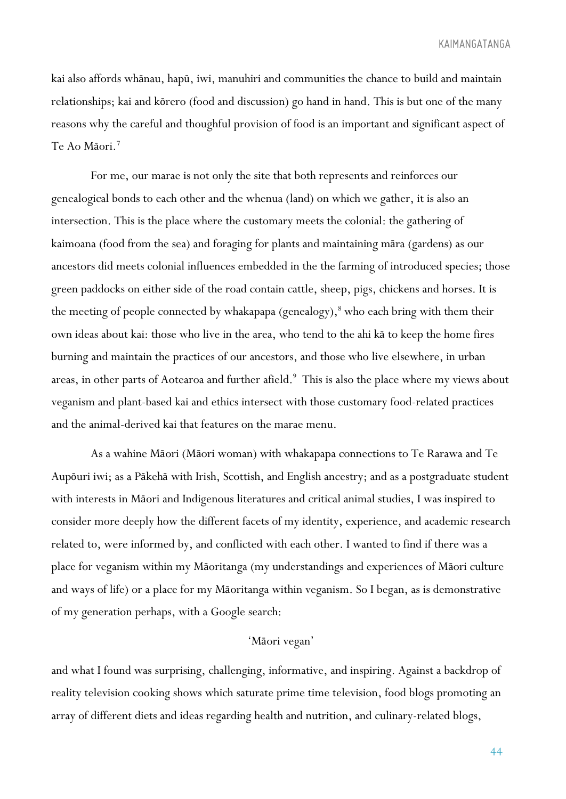kai also affords whānau, hapū, iwi, manuhiri and communities the chance to build and maintain relationships; kai and kōrero (food and discussion) go hand in hand. This is but one of the many reasons why the careful and thoughful provision of food is an important and significant aspect of Te Ao Māori.7

For me, our marae is not only the site that both represents and reinforces our genealogical bonds to each other and the whenua (land) on which we gather, it is also an intersection. This is the place where the customary meets the colonial: the gathering of kaimoana (food from the sea) and foraging for plants and maintaining māra (gardens) as our ancestors did meets colonial influences embedded in the the farming of introduced species; those green paddocks on either side of the road contain cattle, sheep, pigs, chickens and horses. It is the meeting of people connected by whakapapa (genealogy), $\delta$  who each bring with them their own ideas about kai: those who live in the area, who tend to the ahi kā to keep the home fires burning and maintain the practices of our ancestors, and those who live elsewhere, in urban areas, in other parts of Aotearoa and further afield.<sup>9</sup> This is also the place where my views about veganism and plant-based kai and ethics intersect with those customary food-related practices and the animal-derived kai that features on the marae menu.

As a wahine Māori (Māori woman) with whakapapa connections to Te Rarawa and Te Aupōuri iwi; as a Pākehā with Irish, Scottish, and English ancestry; and as a postgraduate student with interests in Māori and Indigenous literatures and critical animal studies, I was inspired to consider more deeply how the different facets of my identity, experience, and academic research related to, were informed by, and conflicted with each other. I wanted to find if there was a place for veganism within my Māoritanga (my understandings and experiences of Māori culture and ways of life) or a place for my Māoritanga within veganism. So I began, as is demonstrative of my generation perhaps, with a Google search:

#### 'Māori vegan'

and what I found was surprising, challenging, informative, and inspiring. Against a backdrop of reality television cooking shows which saturate prime time television, food blogs promoting an array of different diets and ideas regarding health and nutrition, and culinary-related blogs,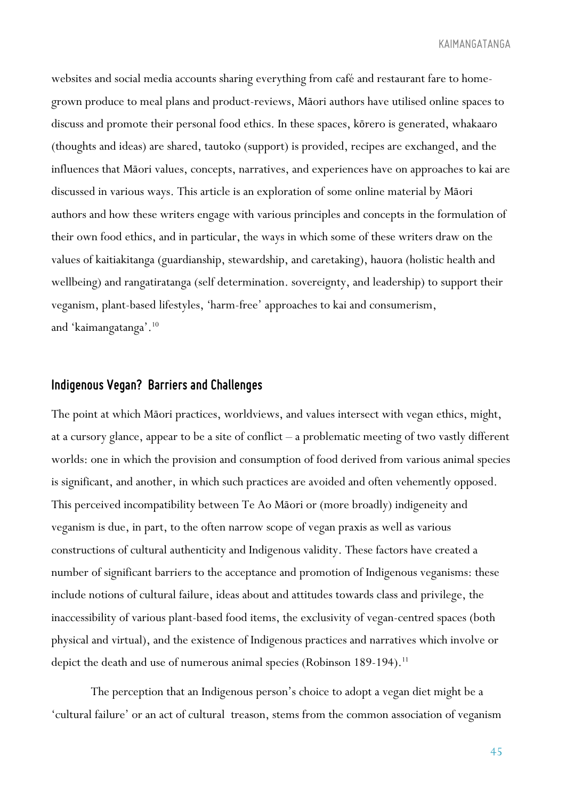websites and social media accounts sharing everything from café and restaurant fare to homegrown produce to meal plans and product-reviews, Māori authors have utilised online spaces to discuss and promote their personal food ethics. In these spaces, kōrero is generated, whakaaro (thoughts and ideas) are shared, tautoko (support) is provided, recipes are exchanged, and the influences that Māori values, concepts, narratives, and experiences have on approaches to kai are discussed in various ways. This article is an exploration of some online material by Māori authors and how these writers engage with various principles and concepts in the formulation of their own food ethics, and in particular, the ways in which some of these writers draw on the values of kaitiakitanga (guardianship, stewardship, and caretaking), hauora (holistic health and wellbeing) and rangatiratanga (self determination. sovereignty, and leadership) to support their veganism, plant-based lifestyles, 'harm-free' approaches to kai and consumerism, and 'kaimangatanga'. 10

#### *Indigenous Vegan?**Barriers and Challenges*

The point at which Māori practices, worldviews, and values intersect with vegan ethics, might, at a cursory glance, appear to be a site of conflict – a problematic meeting of two vastly different worlds: one in which the provision and consumption of food derived from various animal species is significant, and another, in which such practices are avoided and often vehemently opposed. This perceived incompatibility between Te Ao Māori or (more broadly) indigeneity and veganism is due, in part, to the often narrow scope of vegan praxis as well as various constructions of cultural authenticity and Indigenous validity. These factors have created a number of significant barriers to the acceptance and promotion of Indigenous veganisms: these include notions of cultural failure, ideas about and attitudes towards class and privilege, the inaccessibility of various plant-based food items, the exclusivity of vegan-centred spaces (both physical and virtual), and the existence of Indigenous practices and narratives which involve or depict the death and use of numerous animal species (Robinson 189-194).<sup>11</sup>

The perception that an Indigenous person's choice to adopt a vegan diet might be a 'cultural failure' or an act of cultural treason, stems from the common association of veganism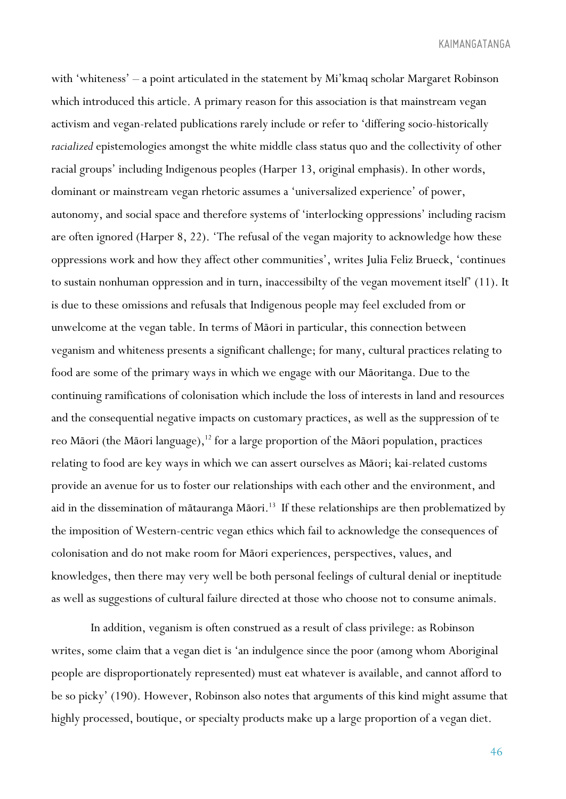with 'whiteness' – a point articulated in the statement by Mi'kmaq scholar Margaret Robinson which introduced this article. A primary reason for this association is that mainstream vegan activism and vegan-related publications rarely include or refer to 'differing socio-historically *racialized* epistemologies amongst the white middle class status quo and the collectivity of other racial groups' including Indigenous peoples (Harper 13, original emphasis). In other words, dominant or mainstream vegan rhetoric assumes a 'universalized experience' of power, autonomy, and social space and therefore systems of 'interlocking oppressions' including racism are often ignored (Harper 8, 22). 'The refusal of the vegan majority to acknowledge how these oppressions work and how they affect other communities', writes Julia Feliz Brueck, 'continues to sustain nonhuman oppression and in turn, inaccessibilty of the vegan movement itself' (11). It is due to these omissions and refusals that Indigenous people may feel excluded from or unwelcome at the vegan table. In terms of Māori in particular, this connection between veganism and whiteness presents a significant challenge; for many, cultural practices relating to food are some of the primary ways in which we engage with our Māoritanga. Due to the continuing ramifications of colonisation which include the loss of interests in land and resources and the consequential negative impacts on customary practices, as well as the suppression of te reo Māori (the Māori language), $12$  for a large proportion of the Māori population, practices relating to food are key ways in which we can assert ourselves as Māori; kai-related customs provide an avenue for us to foster our relationships with each other and the environment, and aid in the dissemination of mātauranga Māori.<sup>13</sup> If these relationships are then problematized by the imposition of Western-centric vegan ethics which fail to acknowledge the consequences of colonisation and do not make room for Māori experiences, perspectives, values, and knowledges, then there may very well be both personal feelings of cultural denial or ineptitude as well as suggestions of cultural failure directed at those who choose not to consume animals.

In addition, veganism is often construed as a result of class privilege: as Robinson writes, some claim that a vegan diet is 'an indulgence since the poor (among whom Aboriginal people are disproportionately represented) must eat whatever is available, and cannot afford to be so picky' (190). However, Robinson also notes that arguments of this kind might assume that highly processed, boutique, or specialty products make up a large proportion of a vegan diet.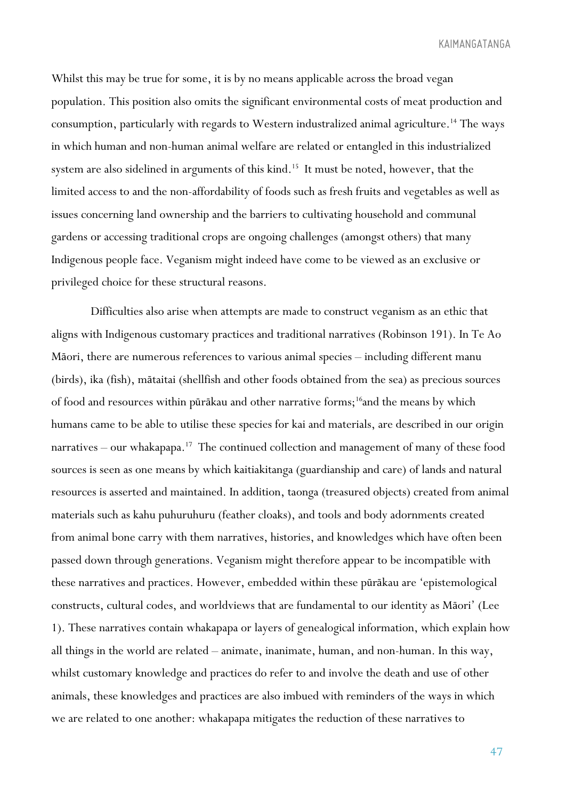Whilst this may be true for some, it is by no means applicable across the broad vegan population. This position also omits the significant environmental costs of meat production and consumption, particularly with regards to Western industralized animal agriculture.14 The ways in which human and non-human animal welfare are related or entangled in this industrialized system are also sidelined in arguments of this kind.<sup>15</sup> It must be noted, however, that the limited access to and the non-affordability of foods such as fresh fruits and vegetables as well as issues concerning land ownership and the barriers to cultivating household and communal gardens or accessing traditional crops are ongoing challenges (amongst others) that many Indigenous people face. Veganism might indeed have come to be viewed as an exclusive or privileged choice for these structural reasons.

Difficulties also arise when attempts are made to construct veganism as an ethic that aligns with Indigenous customary practices and traditional narratives (Robinson 191). In Te Ao Māori, there are numerous references to various animal species – including different manu (birds), ika (fish), mātaitai (shellfish and other foods obtained from the sea) as precious sources of food and resources within pūrākau and other narrative forms;16and the means by which humans came to be able to utilise these species for kai and materials, are described in our origin narratives – our whakapapa.<sup>17</sup> The continued collection and management of many of these food sources is seen as one means by which kaitiakitanga (guardianship and care) of lands and natural resources is asserted and maintained. In addition, taonga (treasured objects) created from animal materials such as kahu puhuruhuru (feather cloaks), and tools and body adornments created from animal bone carry with them narratives, histories, and knowledges which have often been passed down through generations. Veganism might therefore appear to be incompatible with these narratives and practices. However, embedded within these pūrākau are 'epistemological constructs, cultural codes, and worldviews that are fundamental to our identity as Māori' (Lee 1). These narratives contain whakapapa or layers of genealogical information, which explain how all things in the world are related – animate, inanimate, human, and non-human. In this way, whilst customary knowledge and practices do refer to and involve the death and use of other animals, these knowledges and practices are also imbued with reminders of the ways in which we are related to one another: whakapapa mitigates the reduction of these narratives to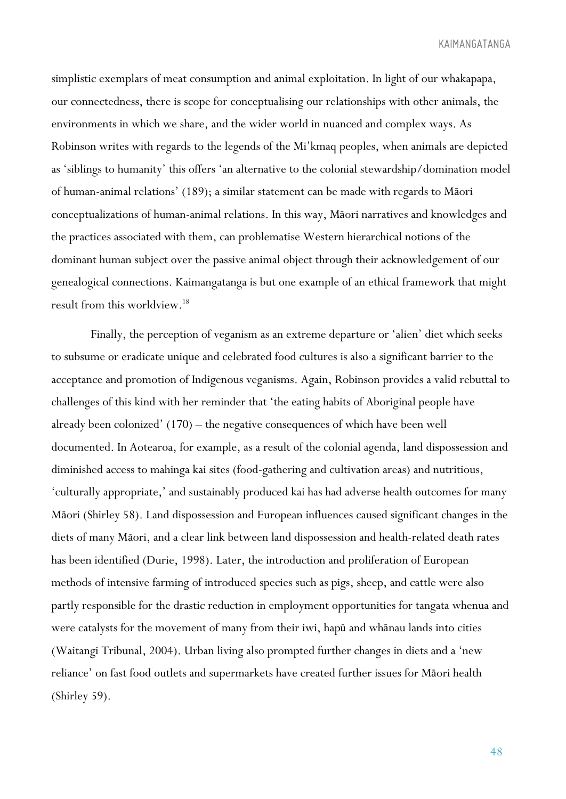simplistic exemplars of meat consumption and animal exploitation. In light of our whakapapa, our connectedness, there is scope for conceptualising our relationships with other animals, the environments in which we share, and the wider world in nuanced and complex ways. As Robinson writes with regards to the legends of the Mi'kmaq peoples, when animals are depicted as 'siblings to humanity' this offers 'an alternative to the colonial stewardship/domination model of human-animal relations' (189); a similar statement can be made with regards to Māori conceptualizations of human-animal relations. In this way, Māori narratives and knowledges and the practices associated with them, can problematise Western hierarchical notions of the dominant human subject over the passive animal object through their acknowledgement of our genealogical connections. Kaimangatanga is but one example of an ethical framework that might result from this worldview.18

Finally, the perception of veganism as an extreme departure or 'alien' diet which seeks to subsume or eradicate unique and celebrated food cultures is also a significant barrier to the acceptance and promotion of Indigenous veganisms. Again, Robinson provides a valid rebuttal to challenges of this kind with her reminder that 'the eating habits of Aboriginal people have already been colonized' (170) – the negative consequences of which have been well documented. In Aotearoa, for example, as a result of the colonial agenda, land dispossession and diminished access to mahinga kai sites (food-gathering and cultivation areas) and nutritious, 'culturally appropriate,' and sustainably produced kai has had adverse health outcomes for many Māori (Shirley 58). Land dispossession and European influences caused significant changes in the diets of many Māori, and a clear link between land dispossession and health-related death rates has been identified (Durie, 1998). Later, the introduction and proliferation of European methods of intensive farming of introduced species such as pigs, sheep, and cattle were also partly responsible for the drastic reduction in employment opportunities for tangata whenua and were catalysts for the movement of many from their iwi, hapū and whānau lands into cities (Waitangi Tribunal, 2004). Urban living also prompted further changes in diets and a 'new reliance' on fast food outlets and supermarkets have created further issues for Māori health (Shirley 59).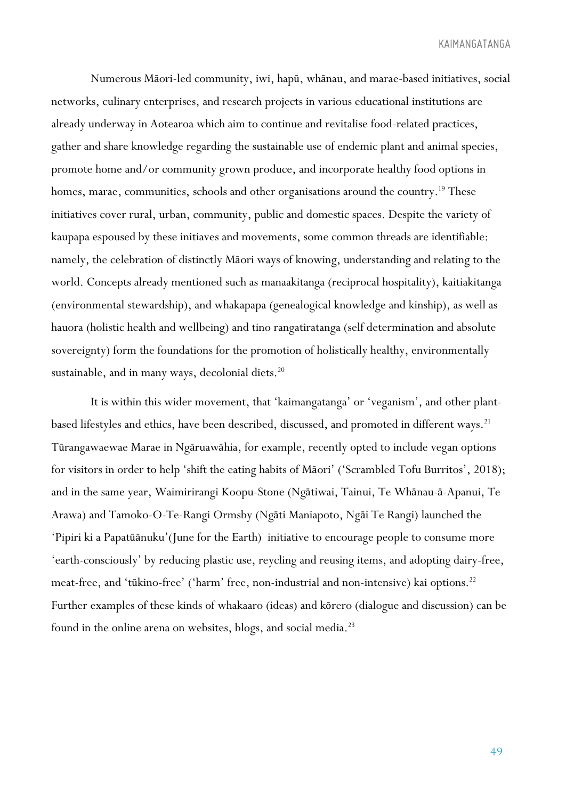Numerous Māori-led community, iwi, hapū, whānau, and marae-based initiatives, social networks, culinary enterprises, and research projects in various educational institutions are already underway in Aotearoa which aim to continue and revitalise food-related practices, gather and share knowledge regarding the sustainable use of endemic plant and animal species, promote home and/or community grown produce, and incorporate healthy food options in homes, marae, communities, schools and other organisations around the country.<sup>19</sup> These initiatives cover rural, urban, community, public and domestic spaces. Despite the variety of kaupapa espoused by these initiaves and movements, some common threads are identifiable: namely, the celebration of distinctly Māori ways of knowing, understanding and relating to the world. Concepts already mentioned such as manaakitanga (reciprocal hospitality), kaitiakitanga (environmental stewardship), and whakapapa (genealogical knowledge and kinship), as well as hauora (holistic health and wellbeing) and tino rangatiratanga (self determination and absolute sovereignty) form the foundations for the promotion of holistically healthy, environmentally sustainable, and in many ways, decolonial diets.<sup>20</sup>

It is within this wider movement, that 'kaimangatanga' or 'veganism', and other plantbased lifestyles and ethics, have been described, discussed, and promoted in different ways.<sup>21</sup> Tūrangawaewae Marae in Ngāruawāhia, for example, recently opted to include vegan options for visitors in order to help 'shift the eating habits of Māori' ('Scrambled Tofu Burritos', 2018); and in the same year, Waimirirangi Koopu-Stone (Ngātiwai, Tainui, Te Whānau-ā-Apanui, Te Arawa) and Tamoko-O-Te-Rangi Ormsby (Ngāti Maniapoto, Ngāi Te Rangi) launched the 'Pipiri ki a Papatūānuku'(June for the Earth) initiative to encourage people to consume more 'earth-consciously' by reducing plastic use, reycling and reusing items, and adopting dairy-free, meat-free, and 'tūkino-free' ('harm' free, non-industrial and non-intensive) kai options.<sup>22</sup> Further examples of these kinds of whakaaro (ideas) and kōrero (dialogue and discussion) can be found in the online arena on websites, blogs, and social media.<sup>23</sup>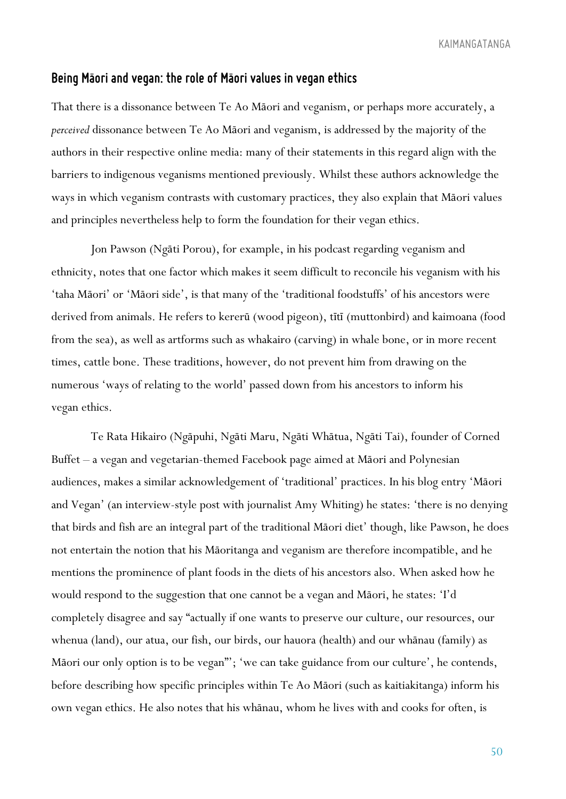### *Being Maori and vegan: the role of Maori values inveganethics - -*

That there is a dissonance between Te Ao Māori and veganism, or perhaps more accurately, a *perceived* dissonance between Te Ao Māori and veganism, is addressed by the majority of the authors in their respective online media: many of their statements in this regard align with the barriers to indigenous veganisms mentioned previously. Whilst these authors acknowledge the ways in which veganism contrasts with customary practices, they also explain that Māori values and principles nevertheless help to form the foundation for their vegan ethics.

Jon Pawson (Ngāti Porou), for example, in his podcast regarding veganism and ethnicity, notes that one factor which makes it seem difficult to reconcile his veganism with his 'taha Māori' or 'Māori side', is that many of the 'traditional foodstuffs' of his ancestors were derived from animals. He refers to kererū (wood pigeon), tītī (muttonbird) and kaimoana (food from the sea), as well as artforms such as whakairo (carving) in whale bone, or in more recent times, cattle bone. These traditions, however, do not prevent him from drawing on the numerous 'ways of relating to the world' passed down from his ancestors to inform his vegan ethics.

Te Rata Hikairo (Ngāpuhi, Ngāti Maru, Ngāti Whātua, Ngāti Tai), founder of Corned Buffet – a vegan and vegetarian-themed Facebook page aimed at Māori and Polynesian audiences, makes a similar acknowledgement of 'traditional' practices. In his blog entry 'Māori and Vegan' (an interview-style post with journalist Amy Whiting) he states: 'there is no denying that birds and fish are an integral part of the traditional Māori diet' though, like Pawson, he does not entertain the notion that his Māoritanga and veganism are therefore incompatible, and he mentions the prominence of plant foods in the diets of his ancestors also. When asked how he would respond to the suggestion that one cannot be a vegan and Māori, he states: 'I'd completely disagree and say "actually if one wants to preserve our culture, our resources, our whenua (land), our atua, our fish, our birds, our hauora (health) and our whānau (family) as Māori our only option is to be vegan"'; 'we can take guidance from our culture', he contends, before describing how specific principles within Te Ao Māori (such as kaitiakitanga) inform his own vegan ethics. He also notes that his whānau, whom he lives with and cooks for often, is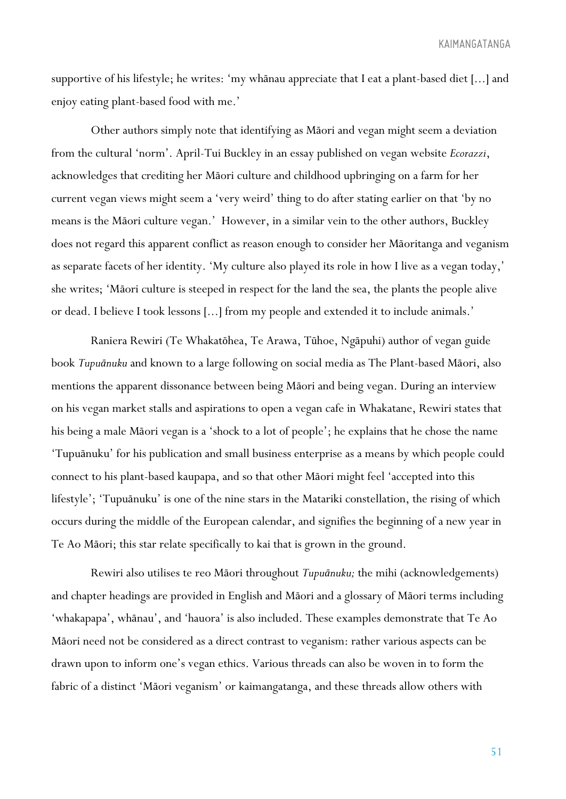supportive of his lifestyle; he writes: 'my whānau appreciate that I eat a plant-based diet [...] and enjoy eating plant-based food with me.'

Other authors simply note that identifying as Māori and vegan might seem a deviation from the cultural 'norm'. April-Tui Buckley in an essay published on vegan website *Ecorazzi*, acknowledges that crediting her Māori culture and childhood upbringing on a farm for her current vegan views might seem a 'very weird' thing to do after stating earlier on that 'by no means is the Māori culture vegan.' However, in a similar vein to the other authors, Buckley does not regard this apparent conflict as reason enough to consider her Māoritanga and veganism as separate facets of her identity. 'My culture also played its role in how I live as a vegan today,' she writes; 'Māori culture is steeped in respect for the land the sea, the plants the people alive or dead. I believe I took lessons [...] from my people and extended it to include animals.'

Raniera Rewiri (Te Whakatōhea, Te Arawa, Tūhoe, Ngāpuhi) author of vegan guide book *Tupuānuku* and known to a large following on social media as The Plant-based Māori, also mentions the apparent dissonance between being Māori and being vegan. During an interview on his vegan market stalls and aspirations to open a vegan cafe in Whakatane, Rewiri states that his being a male Māori vegan is a 'shock to a lot of people'; he explains that he chose the name 'Tupuānuku' for his publication and small business enterprise as a means by which people could connect to his plant-based kaupapa, and so that other Māori might feel 'accepted into this lifestyle'; 'Tupuānuku' is one of the nine stars in the Matariki constellation, the rising of which occurs during the middle of the European calendar, and signifies the beginning of a new year in Te Ao Māori; this star relate specifically to kai that is grown in the ground.

Rewiri also utilises te reo Māori throughout *Tupuānuku;* the mihi (acknowledgements) and chapter headings are provided in English and Māori and a glossary of Māori terms including 'whakapapa', whānau', and 'hauora' is also included. These examples demonstrate that Te Ao Māori need not be considered as a direct contrast to veganism: rather various aspects can be drawn upon to inform one's vegan ethics. Various threads can also be woven in to form the fabric of a distinct 'Māori veganism' or kaimangatanga, and these threads allow others with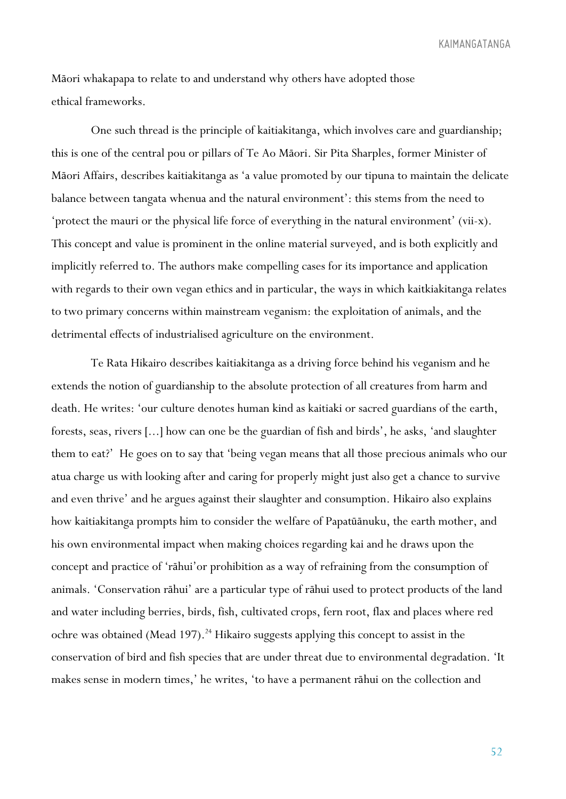Māori whakapapa to relate to and understand why others have adopted those ethical frameworks.

One such thread is the principle of kaitiakitanga, which involves care and guardianship; this is one of the central pou or pillars of Te Ao Māori. Sir Pita Sharples, former Minister of Māori Affairs, describes kaitiakitanga as 'a value promoted by our tipuna to maintain the delicate balance between tangata whenua and the natural environment': this stems from the need to 'protect the mauri or the physical life force of everything in the natural environment' (vii-x). This concept and value is prominent in the online material surveyed, and is both explicitly and implicitly referred to. The authors make compelling cases for its importance and application with regards to their own vegan ethics and in particular, the ways in which kaitkiakitanga relates to two primary concerns within mainstream veganism: the exploitation of animals, and the detrimental effects of industrialised agriculture on the environment.

Te Rata Hikairo describes kaitiakitanga as a driving force behind his veganism and he extends the notion of guardianship to the absolute protection of all creatures from harm and death. He writes: 'our culture denotes human kind as kaitiaki or sacred guardians of the earth, forests, seas, rivers [...] how can one be the guardian of fish and birds', he asks, 'and slaughter them to eat?' He goes on to say that 'being vegan means that all those precious animals who our atua charge us with looking after and caring for properly might just also get a chance to survive and even thrive' and he argues against their slaughter and consumption. Hikairo also explains how kaitiakitanga prompts him to consider the welfare of Papatūānuku, the earth mother, and his own environmental impact when making choices regarding kai and he draws upon the concept and practice of 'rāhui'or prohibition as a way of refraining from the consumption of animals. 'Conservation rāhui' are a particular type of rāhui used to protect products of the land and water including berries, birds, fish, cultivated crops, fern root, flax and places where red ochre was obtained (Mead 197).<sup>24</sup> Hikairo suggests applying this concept to assist in the conservation of bird and fish species that are under threat due to environmental degradation. 'It makes sense in modern times,' he writes, 'to have a permanent rāhui on the collection and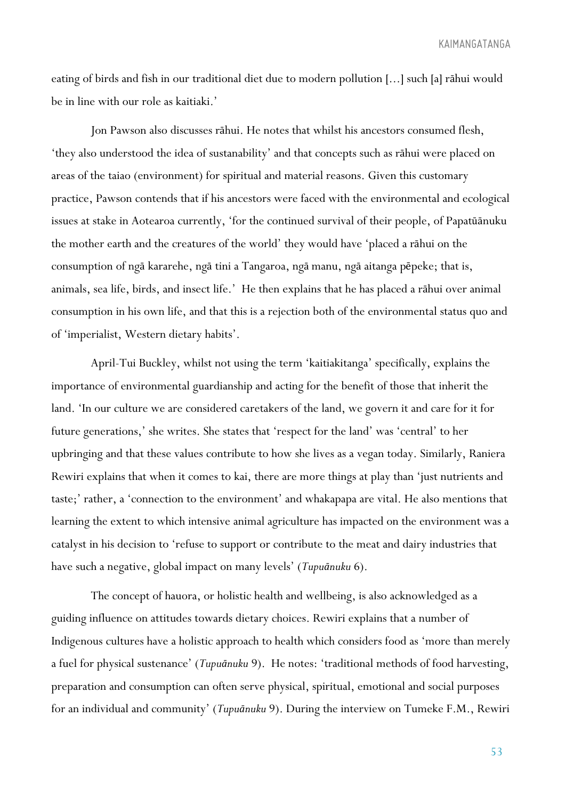eating of birds and fish in our traditional diet due to modern pollution [...] such [a] rāhui would be in line with our role as kaitiaki.'

Jon Pawson also discusses rāhui. He notes that whilst his ancestors consumed flesh, 'they also understood the idea of sustanability' and that concepts such as rāhui were placed on areas of the taiao (environment) for spiritual and material reasons. Given this customary practice, Pawson contends that if his ancestors were faced with the environmental and ecological issues at stake in Aotearoa currently, 'for the continued survival of their people, of Papatūānuku the mother earth and the creatures of the world' they would have 'placed a rāhui on the consumption of ngā kararehe, ngā tini a Tangaroa, ngā manu, ngā aitanga pēpeke; that is, animals, sea life, birds, and insect life.' He then explains that he has placed a rāhui over animal consumption in his own life, and that this is a rejection both of the environmental status quo and of 'imperialist, Western dietary habits'.

April-Tui Buckley, whilst not using the term 'kaitiakitanga' specifically, explains the importance of environmental guardianship and acting for the benefit of those that inherit the land. 'In our culture we are considered caretakers of the land, we govern it and care for it for future generations,' she writes. She states that 'respect for the land' was 'central' to her upbringing and that these values contribute to how she lives as a vegan today. Similarly, Raniera Rewiri explains that when it comes to kai, there are more things at play than 'just nutrients and taste;' rather, a 'connection to the environment' and whakapapa are vital. He also mentions that learning the extent to which intensive animal agriculture has impacted on the environment was a catalyst in his decision to 'refuse to support or contribute to the meat and dairy industries that have such a negative, global impact on many levels' (*Tupuānuku* 6).

The concept of hauora, or holistic health and wellbeing, is also acknowledged as a guiding influence on attitudes towards dietary choices. Rewiri explains that a number of Indigenous cultures have a holistic approach to health which considers food as 'more than merely a fuel for physical sustenance' (*Tupuānuku* 9). He notes: 'traditional methods of food harvesting, preparation and consumption can often serve physical, spiritual, emotional and social purposes for an individual and community' (*Tupuānuku* 9). During the interview on Tumeke F.M., Rewiri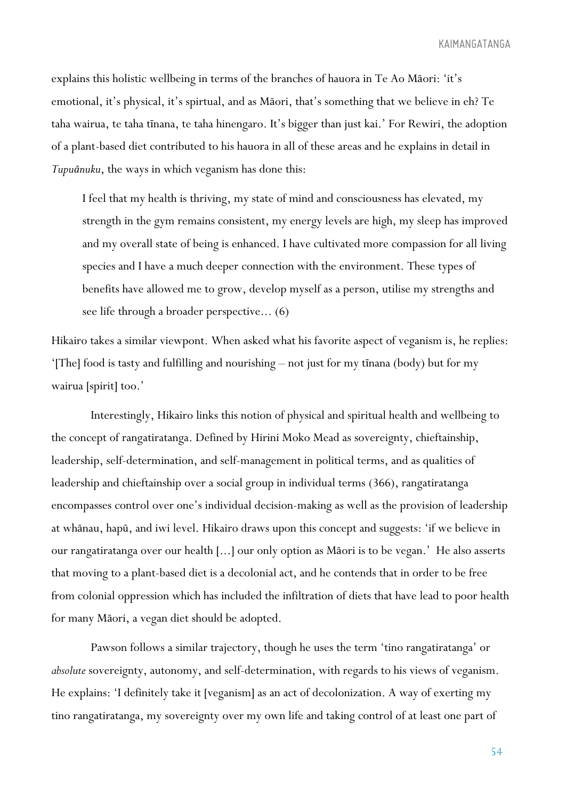explains this holistic wellbeing in terms of the branches of hauora in Te Ao Māori: 'it's emotional, it's physical, it's spirtual, and as Māori, that's something that we believe in eh? Te taha wairua, te taha tīnana, te taha hinengaro. It's bigger than just kai.' For Rewiri, the adoption of a plant-based diet contributed to his hauora in all of these areas and he explains in detail in *Tupuānuku*, the ways in which veganism has done this:

I feel that my health is thriving, my state of mind and consciousness has elevated, my strength in the gym remains consistent, my energy levels are high, my sleep has improved and my overall state of being is enhanced. I have cultivated more compassion for all living species and I have a much deeper connection with the environment. These types of benefits have allowed me to grow, develop myself as a person, utilise my strengths and see life through a broader perspective... (6)

Hikairo takes a similar viewpont. When asked what his favorite aspect of veganism is, he replies: '[The] food is tasty and fulfilling and nourishing – not just for my tīnana (body) but for my wairua [spirit] too.'

Interestingly, Hikairo links this notion of physical and spiritual health and wellbeing to the concept of rangatiratanga. Defined by Hirini Moko Mead as sovereignty, chieftainship, leadership, self-determination, and self-management in political terms, and as qualities of leadership and chieftainship over a social group in individual terms (366), rangatiratanga encompasses control over one's individual decision-making as well as the provision of leadership at whānau, hapū, and iwi level. Hikairo draws upon this concept and suggests: 'if we believe in our rangatiratanga over our health [...] our only option as Māori is to be vegan.' He also asserts that moving to a plant-based diet is a decolonial act, and he contends that in order to be free from colonial oppression which has included the infiltration of diets that have lead to poor health for many Māori, a vegan diet should be adopted.

Pawson follows a similar trajectory, though he uses the term 'tino rangatiratanga' or *absolute* sovereignty, autonomy, and self-determination, with regards to his views of veganism. He explains: 'I definitely take it [veganism] as an act of decolonization. A way of exerting my tino rangatiratanga, my sovereignty over my own life and taking control of at least one part of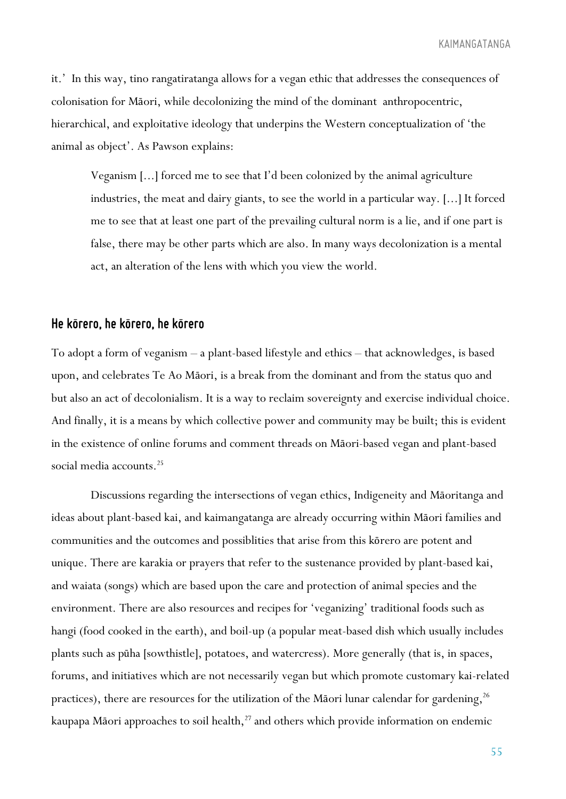it.' In this way, tino rangatiratanga allows for a vegan ethic that addresses the consequences of colonisation for Māori, while decolonizing the mind of the dominant anthropocentric, hierarchical, and exploitative ideology that underpins the Western conceptualization of 'the animal as object'. As Pawson explains:

Veganism [...] forced me to see that I'd been colonized by the animal agriculture industries, the meat and dairy giants, to see the world in a particular way. [...] It forced me to see that at least one part of the prevailing cultural norm is a lie, and if one part is false, there may be other parts which are also. In many ways decolonization is a mental act, an alteration of the lens with which you view the world.

## *He korero,he korero,he korero - - -*

To adopt a form of veganism – a plant-based lifestyle and ethics – that acknowledges, is based upon, and celebrates Te Ao Māori, is a break from the dominant and from the status quo and but also an act of decolonialism. It is a way to reclaim sovereignty and exercise individual choice. And finally, it is a means by which collective power and community may be built; this is evident in the existence of online forums and comment threads on Māori-based vegan and plant-based social media accounts.<sup>25</sup>

Discussions regarding the intersections of vegan ethics, Indigeneity and Māoritanga and ideas about plant-based kai, and kaimangatanga are already occurring within Māori families and communities and the outcomes and possiblities that arise from this kōrero are potent and unique. There are karakia or prayers that refer to the sustenance provided by plant-based kai, and waiata (songs) which are based upon the care and protection of animal species and the environment. There are also resources and recipes for 'veganizing' traditional foods such as hangi (food cooked in the earth), and boil-up (a popular meat-based dish which usually includes plants such as pūha [sowthistle], potatoes, and watercress). More generally (that is, in spaces, forums, and initiatives which are not necessarily vegan but which promote customary kai-related practices), there are resources for the utilization of the Māori lunar calendar for gardening,  $^{26}$ kaupapa Māori approaches to soil health, <sup>27</sup> and others which provide information on endemic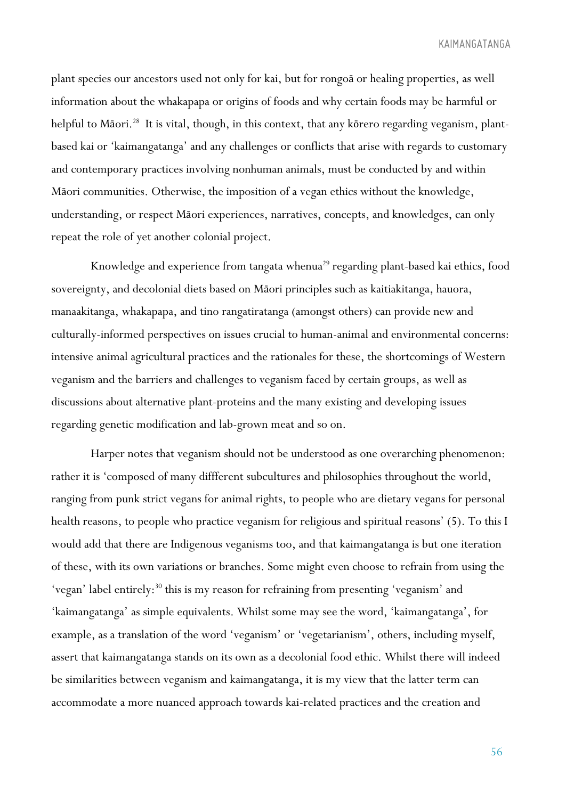plant species our ancestors used not only for kai, but for rongoā or healing properties, as well information about the whakapapa or origins of foods and why certain foods may be harmful or helpful to Māori.<sup>28</sup> It is vital, though, in this context, that any kōrero regarding veganism, plantbased kai or 'kaimangatanga' and any challenges or conflicts that arise with regards to customary and contemporary practices involving nonhuman animals, must be conducted by and within Māori communities. Otherwise, the imposition of a vegan ethics without the knowledge, understanding, or respect Māori experiences, narratives, concepts, and knowledges, can only repeat the role of yet another colonial project.

Knowledge and experience from tangata whenua<sup>29</sup> regarding plant-based kai ethics, food sovereignty, and decolonial diets based on Māori principles such as kaitiakitanga, hauora, manaakitanga, whakapapa, and tino rangatiratanga (amongst others) can provide new and culturally-informed perspectives on issues crucial to human-animal and environmental concerns: intensive animal agricultural practices and the rationales for these, the shortcomings of Western veganism and the barriers and challenges to veganism faced by certain groups, as well as discussions about alternative plant-proteins and the many existing and developing issues regarding genetic modification and lab-grown meat and so on.

Harper notes that veganism should not be understood as one overarching phenomenon: rather it is 'composed of many diffferent subcultures and philosophies throughout the world, ranging from punk strict vegans for animal rights, to people who are dietary vegans for personal health reasons, to people who practice veganism for religious and spiritual reasons' (5). To this I would add that there are Indigenous veganisms too, and that kaimangatanga is but one iteration of these, with its own variations or branches. Some might even choose to refrain from using the 'vegan' label entirely:<sup>30</sup> this is my reason for refraining from presenting 'veganism' and 'kaimangatanga' as simple equivalents. Whilst some may see the word, 'kaimangatanga', for example, as a translation of the word 'veganism' or 'vegetarianism', others, including myself, assert that kaimangatanga stands on its own as a decolonial food ethic. Whilst there will indeed be similarities between veganism and kaimangatanga, it is my view that the latter term can accommodate a more nuanced approach towards kai-related practices and the creation and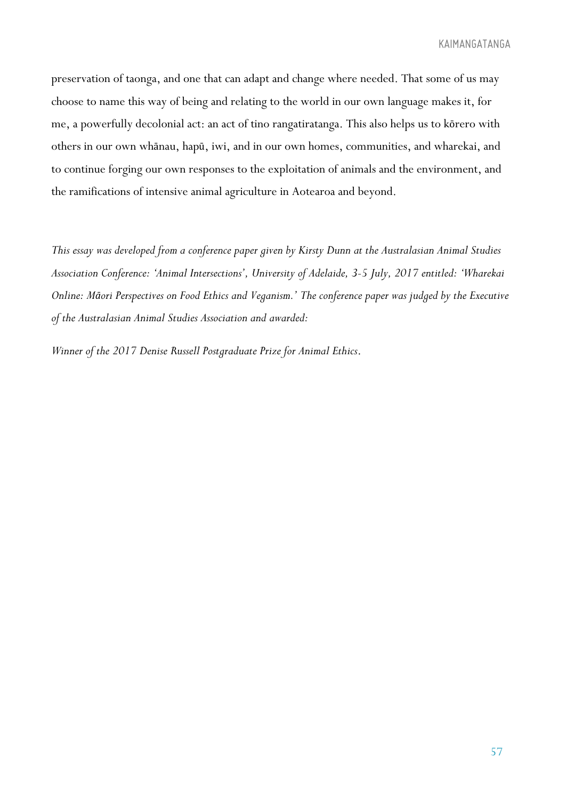preservation of taonga, and one that can adapt and change where needed. That some of us may choose to name this way of being and relating to the world in our own language makes it, for me, a powerfully decolonial act: an act of tino rangatiratanga. This also helps us to kōrero with others in our own whānau, hapū, iwi, and in our own homes, communities, and wharekai, and to continue forging our own responses to the exploitation of animals and the environment, and the ramifications of intensive animal agriculture in Aotearoa and beyond.

*This essay was developed from a conference paper given by Kirsty Dunn at the Australasian Animal Studies Association Conference: 'Animal Intersections', University of Adelaide, 3-5 July, 2017 entitled: 'Wharekai Online: Māori Perspectives on Food Ethics and Veganism.' The conference paper was judged by the Executive of the Australasian Animal Studies Association and awarded:* 

*Winner of the 2017 Denise Russell Postgraduate Prize for Animal Ethics*.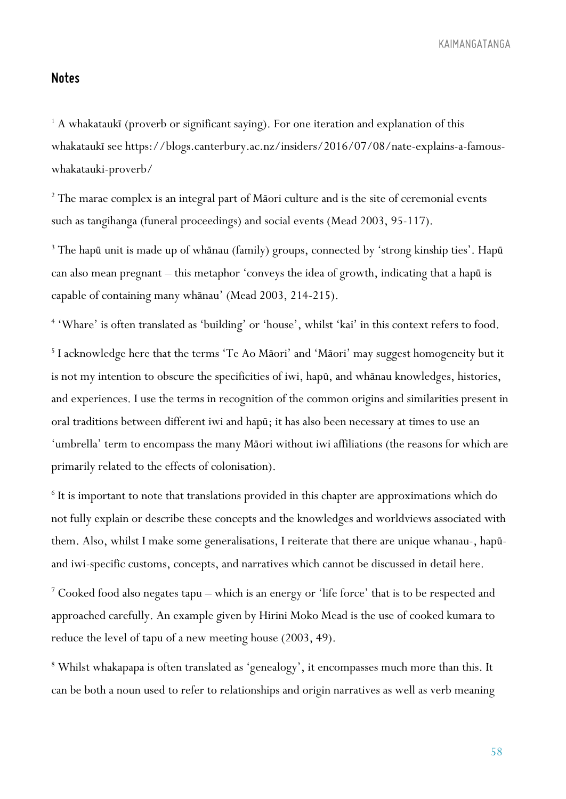#### *Notes*

<sup>1</sup> A whakataukī (proverb or significant saying). For one iteration and explanation of this whakataukī see https://blogs.canterbury.ac.nz/insiders/2016/07/08/nate-explains-a-famouswhakatauki-proverb/

<sup>2</sup> The marae complex is an integral part of Māori culture and is the site of ceremonial events such as tangihanga (funeral proceedings) and social events (Mead 2003, 95-117).

<sup>3</sup> The hapū unit is made up of whānau (family) groups, connected by 'strong kinship ties'. Hapū can also mean pregnant – this metaphor 'conveys the idea of growth, indicating that a hapū is capable of containing many whānau' (Mead 2003, 214-215).

<sup>4</sup> 'Whare' is often translated as 'building' or 'house', whilst 'kai' in this context refers to food.

<sup>5</sup> I acknowledge here that the terms 'Te Ao Māori' and 'Māori' may suggest homogeneity but it is not my intention to obscure the specificities of iwi, hapū, and whānau knowledges, histories, and experiences. I use the terms in recognition of the common origins and similarities present in oral traditions between different iwi and hapū; it has also been necessary at times to use an 'umbrella' term to encompass the many Māori without iwi affiliations (the reasons for which are primarily related to the effects of colonisation).

<sup>6</sup> It is important to note that translations provided in this chapter are approximations which do not fully explain or describe these concepts and the knowledges and worldviews associated with them. Also, whilst I make some generalisations, I reiterate that there are unique whanau-, hapūand iwi-specific customs, concepts, and narratives which cannot be discussed in detail here.

<sup>7</sup> Cooked food also negates tapu – which is an energy or 'life force' that is to be respected and approached carefully. An example given by Hirini Moko Mead is the use of cooked kumara to reduce the level of tapu of a new meeting house (2003, 49).

<sup>8</sup> Whilst whakapapa is often translated as 'genealogy', it encompasses much more than this. It can be both a noun used to refer to relationships and origin narratives as well as verb meaning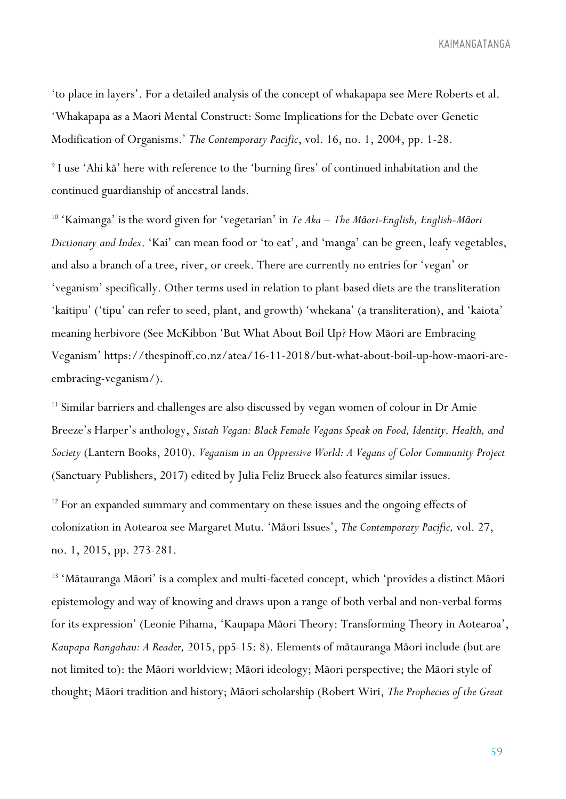'to place in layers'. For a detailed analysis of the concept of whakapapa see Mere Roberts et al. 'Whakapapa as a Maori Mental Construct: Some Implications for the Debate over Genetic Modification of Organisms.' *The Contemporary Pacific*, vol. 16, no. 1, 2004, pp. 1-28.

<sup>9</sup> I use 'Ahi kā' here with reference to the 'burning fires' of continued inhabitation and the continued guardianship of ancestral lands.

<sup>10</sup> 'Kaimanga' is the word given for 'vegetarian' in *Te Aka – The Māori-English, English-Māori Dictionary and Index*. 'Kai' can mean food or 'to eat', and 'manga' can be green, leafy vegetables, and also a branch of a tree, river, or creek. There are currently no entries for 'vegan' or 'veganism' specifically. Other terms used in relation to plant-based diets are the transliteration 'kaitipu' ('tipu' can refer to seed, plant, and growth) 'whekana' (a transliteration), and 'kaiota' meaning herbivore (See McKibbon 'But What About Boil Up? How Māori are Embracing Veganism' https://thespinoff.co.nz/atea/16-11-2018/but-what-about-boil-up-how-maori-areembracing-veganism/).

<sup>11</sup> Similar barriers and challenges are also discussed by vegan women of colour in Dr Amie Breeze's Harper's anthology, *Sistah Vegan: Black Female Vegans Speak on Food, Identity, Health, and Society* (Lantern Books, 2010). *Veganism in an Oppressive World: A Vegans of Color Community Project*  (Sanctuary Publishers, 2017) edited by Julia Feliz Brueck also features similar issues.

<sup>12</sup> For an expanded summary and commentary on these issues and the ongoing effects of colonization in Aotearoa see Margaret Mutu. 'Māori Issues', *The Contemporary Pacific,* vol. 27, no. 1, 2015, pp. 273-281.

<sup>13</sup> 'Mātauranga Māori' is a complex and multi-faceted concept, which 'provides a distinct Māori epistemology and way of knowing and draws upon a range of both verbal and non-verbal forms for its expression' (Leonie Pihama, 'Kaupapa Māori Theory: Transforming Theory in Aotearoa', *Kaupapa Rangahau: A Reader,* 2015, pp5-15: 8). Elements of mātauranga Māori include (but are not limited to): the Māori worldview; Māori ideology; Māori perspective; the Māori style of thought; Māori tradition and history; Māori scholarship (Robert Wiri, *The Prophecies of the Great*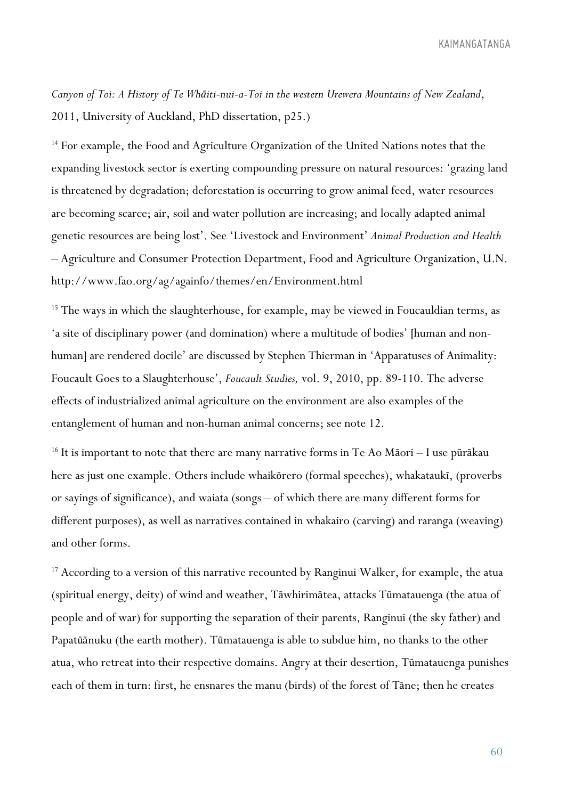*Canyon of Toi: A History of Te Whāiti-nui-a-Toi in the western Urewera Mountains of New Zealand*, 2011, University of Auckland, PhD dissertation, p25.)

<sup>14</sup> For example, the Food and Agriculture Organization of the United Nations notes that the expanding livestock sector is exerting compounding pressure on natural resources: 'grazing land is threatened by degradation; deforestation is occurring to grow animal feed, water resources are becoming scarce; air, soil and water pollution are increasing; and locally adapted animal genetic resources are being lost'. See 'Livestock and Environment' *Animal Production and Health*  – Agriculture and Consumer Protection Department, Food and Agriculture Organization, U.N. http://www.fao.org/ag/againfo/themes/en/Environment.html

<sup>15</sup> The ways in which the slaughterhouse, for example, may be viewed in Foucauldian terms, as 'a site of disciplinary power (and domination) where a multitude of bodies' [human and nonhuman] are rendered docile' are discussed by Stephen Thierman in 'Apparatuses of Animality: Foucault Goes to a Slaughterhouse', *Foucault Studies,* vol. 9, 2010, pp. 89-110. The adverse effects of industrialized animal agriculture on the environment are also examples of the entanglement of human and non-human animal concerns; see note 12.

<sup>16</sup> It is important to note that there are many narrative forms in Te Ao Māori – I use pūrākau here as just one example. Others include whaikōrero (formal speeches), whakataukī, (proverbs or sayings of significance), and waiata (songs – of which there are many different forms for different purposes), as well as narratives contained in whakairo (carving) and raranga (weaving) and other forms.

<sup>17</sup> According to a version of this narrative recounted by Ranginui Walker, for example, the atua (spiritual energy, deity) of wind and weather, Tāwhirimātea, attacks Tūmatauenga (the atua of people and of war) for supporting the separation of their parents, Ranginui (the sky father) and Papatūānuku (the earth mother). Tūmatauenga is able to subdue him, no thanks to the other atua, who retreat into their respective domains. Angry at their desertion, Tūmatauenga punishes each of them in turn: first, he ensnares the manu (birds) of the forest of Tāne; then he creates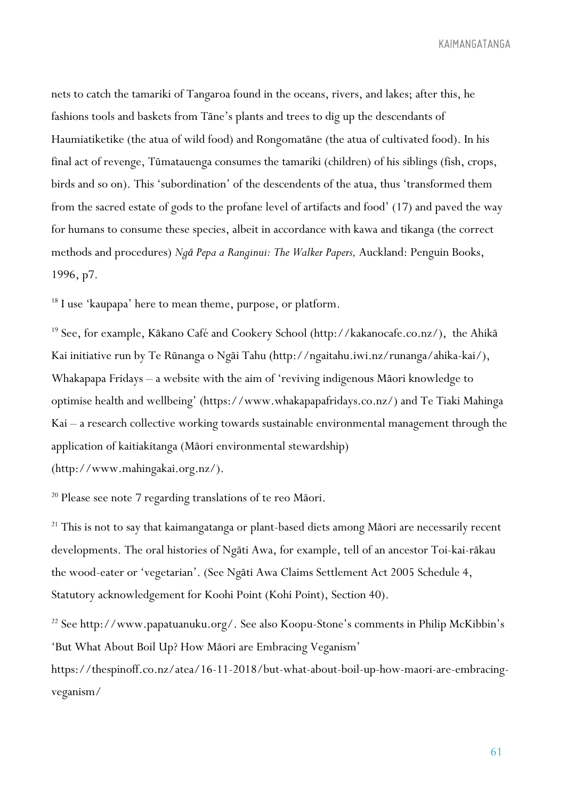nets to catch the tamariki of Tangaroa found in the oceans, rivers, and lakes; after this, he fashions tools and baskets from Tāne's plants and trees to dig up the descendants of Haumiatiketike (the atua of wild food) and Rongomatāne (the atua of cultivated food). In his final act of revenge, Tūmatauenga consumes the tamariki (children) of his siblings (fish, crops, birds and so on). This 'subordination' of the descendents of the atua, thus 'transformed them from the sacred estate of gods to the profane level of artifacts and food' (17) and paved the way for humans to consume these species, albeit in accordance with kawa and tikanga (the correct methods and procedures) *Ngā Pepa a Ranginui: The Walker Papers,* Auckland: Penguin Books, 1996, p7.

<sup>18</sup> I use 'kaupapa' here to mean theme, purpose, or platform.

<sup>19</sup> See, for example, Kākano Café and Cookery School (http://kakanocafe.co.nz/), the Ahikā Kai initiative run by Te Rūnanga o Ngāi Tahu (http://ngaitahu.iwi.nz/runanga/ahika-kai/), Whakapapa Fridays – a website with the aim of 'reviving indigenous Māori knowledge to optimise health and wellbeing' (https://www.whakapapafridays.co.nz/) and Te Tiaki Mahinga Kai – a research collective working towards sustainable environmental management through the application of kaitiakitanga (Māori environmental stewardship)

(http://www.mahingakai.org.nz/).

<sup>20</sup> Please see note 7 regarding translations of te reo Māori.

<sup>21</sup> This is not to say that kaimangatanga or plant-based diets among Māori are necessarily recent developments. The oral histories of Ngāti Awa, for example, tell of an ancestor Toi-kai-rākau the wood-eater or 'vegetarian'. (See Ngāti Awa Claims Settlement Act 2005 Schedule 4, Statutory acknowledgement for Koohi Point (Kohi Point), Section 40).

<sup>22</sup> See http://www.papatuanuku.org/. See also Koopu-Stone's comments in Philip McKibbin's 'But What About Boil Up? How Māori are Embracing Veganism'

https://thespinoff.co.nz/atea/16-11-2018/but-what-about-boil-up-how-maori-are-embracingveganism/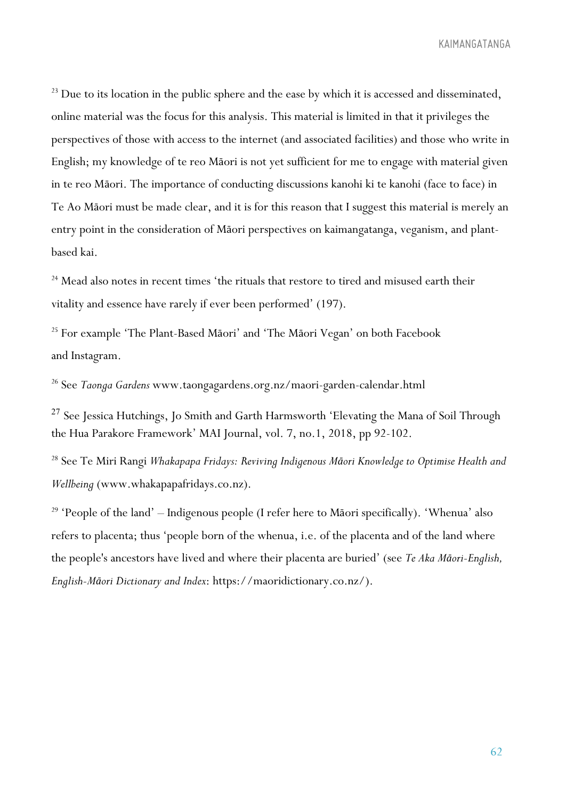<sup>23</sup> Due to its location in the public sphere and the ease by which it is accessed and disseminated, online material was the focus for this analysis. This material is limited in that it privileges the perspectives of those with access to the internet (and associated facilities) and those who write in English; my knowledge of te reo Māori is not yet sufficient for me to engage with material given in te reo Māori. The importance of conducting discussions kanohi ki te kanohi (face to face) in Te Ao Māori must be made clear, and it is for this reason that I suggest this material is merely an entry point in the consideration of Māori perspectives on kaimangatanga, veganism, and plantbased kai.

<sup>24</sup> Mead also notes in recent times 'the rituals that restore to tired and misused earth their vitality and essence have rarely if ever been performed' (197).

<sup>25</sup> For example 'The Plant-Based Māori' and 'The Māori Vegan' on both Facebook and Instagram.

<sup>26</sup> See *Taonga Gardens* www.taongagardens.org.nz/maori-garden-calendar.html

 $27$  See Jessica Hutchings, Jo Smith and Garth Harmsworth 'Elevating the Mana of Soil Through the Hua Parakore Framework' MAI Journal, vol. 7, no.1, 2018, pp 92-102.

<sup>28</sup> See Te Miri Rangi *Whakapapa Fridays: Reviving Indigenous Māori Knowledge to Optimise Health and Wellbeing* (www.whakapapafridays.co.nz).

<sup>29</sup> 'People of the land' – Indigenous people (I refer here to Māori specifically). 'Whenua' also refers to placenta; thus 'people born of the whenua, i.e. of the placenta and of the land where the people's ancestors have lived and where their placenta are buried' (see *Te Aka Māori-English, English-Māori Dictionary and Index*: https://maoridictionary.co.nz/).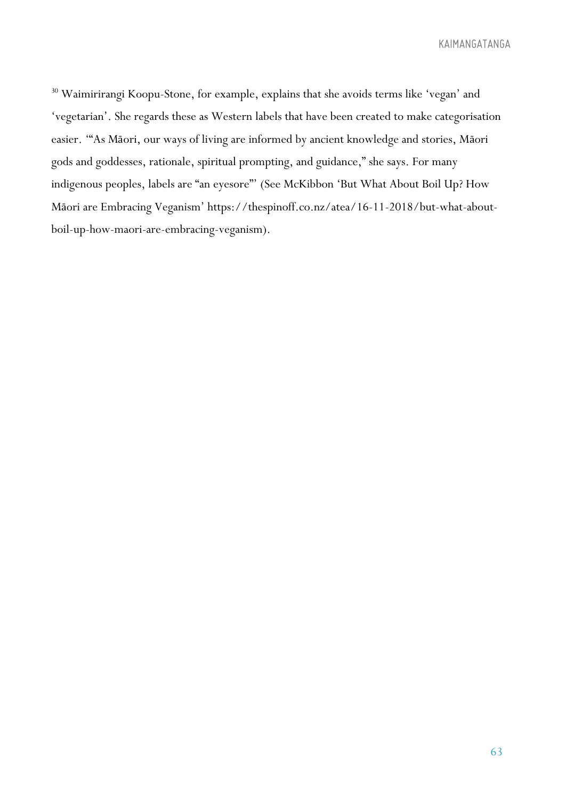<sup>30</sup> Waimirirangi Koopu-Stone, for example, explains that she avoids terms like 'vegan' and 'vegetarian'. She regards these as Western labels that have been created to make categorisation easier. '"As Māori, our ways of living are informed by ancient knowledge and stories, Māori gods and goddesses, rationale, spiritual prompting, and guidance," she says. For many indigenous peoples, labels are "an eyesore"' (See McKibbon 'But What About Boil Up? How Māori are Embracing Veganism' https://thespinoff.co.nz/atea/16-11-2018/but-what-aboutboil-up-how-maori-are-embracing-veganism).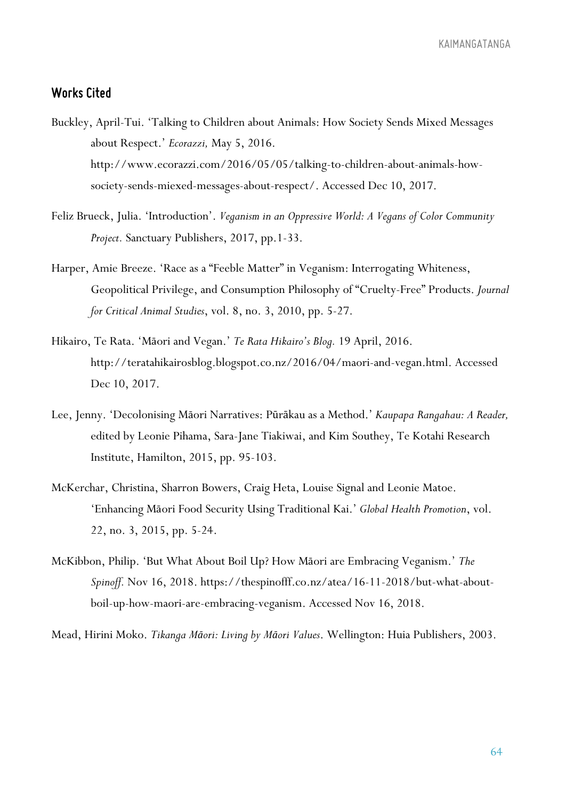#### *Works Cited*

- Buckley, April-Tui. 'Talking to Children about Animals: How Society Sends Mixed Messages about Respect.' *Ecorazzi,* May 5, 2016. http://www.ecorazzi.com/2016/05/05/talking-to-children-about-animals-howsociety-sends-miexed-messages-about-respect/. Accessed Dec 10, 2017.
- Feliz Brueck, Julia. 'Introduction'. *Veganism in an Oppressive World: A Vegans of Color Community Project.* Sanctuary Publishers, 2017, pp.1-33.
- Harper, Amie Breeze. 'Race as a "Feeble Matter" in Veganism: Interrogating Whiteness, Geopolitical Privilege, and Consumption Philosophy of "Cruelty-Free" Products. *Journal for Critical Animal Studies*, vol. 8, no. 3, 2010, pp. 5-27.
- Hikairo, Te Rata. 'Māori and Vegan.' *Te Rata Hikairo's Blog.* 19 April, 2016. http://teratahikairosblog.blogspot.co.nz/2016/04/maori-and-vegan.html. Accessed Dec 10, 2017.
- Lee, Jenny. 'Decolonising Māori Narratives: Pūrākau as a Method.' *Kaupapa Rangahau: A Reader,*  edited by Leonie Pihama, Sara-Jane Tiakiwai, and Kim Southey, Te Kotahi Research Institute, Hamilton, 2015, pp. 95-103.
- McKerchar, Christina, Sharron Bowers, Craig Heta, Louise Signal and Leonie Matoe. 'Enhancing Māori Food Security Using Traditional Kai.' *Global Health Promotion*, vol. 22, no. 3, 2015, pp. 5-24.
- McKibbon, Philip. 'But What About Boil Up? How Māori are Embracing Veganism.' *The Spinoff.* Nov 16, 2018. https://thespinofff.co.nz/atea/16-11-2018/but-what-aboutboil-up-how-maori-are-embracing-veganism. Accessed Nov 16, 2018.

Mead, Hirini Moko. *Tikanga Māori: Living by Māori Values*. Wellington: Huia Publishers, 2003.